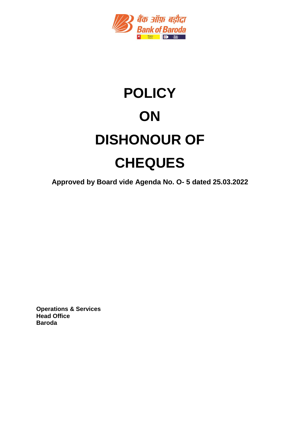

# **POLICY ON DISHONOUR OF CHEQUES**

**Approved by Board vide Agenda No. O- 5 dated 25.03.2022**

**Operations & Services Head Office Baroda**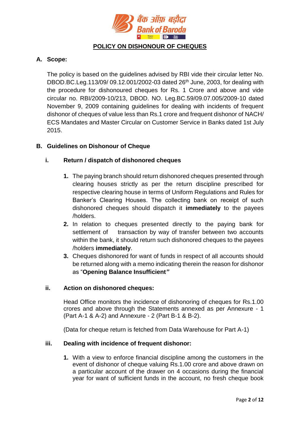

# **POLICY ON DISHONOUR OF CHEQUES**

## **A. Scope:**

The policy is based on the guidelines advised by RBI vide their circular letter No. DBOD.BC.Leg.113/09/ 09.12.001/2002-03 dated 26<sup>th</sup> June, 2003, for dealing with the procedure for dishonoured cheques for Rs. 1 Crore and above and vide circular no. RBI/2009-10/213, DBOD. NO. Leg.BC.59/09.07.005/2009-10 dated November 9, 2009 containing guidelines for dealing with incidents of frequent dishonor of cheques of value less than Rs.1 crore and frequent dishonor of NACH/ ECS Mandates and Master Circular on Customer Service in Banks dated 1st July 2015.

#### **B. Guidelines on Dishonour of Cheque**

#### **i. Return / dispatch of dishonored cheques**

- **1.** The paying branch should return dishonored cheques presented through clearing houses strictly as per the return discipline prescribed for respective clearing house in terms of Uniform Regulations and Rules for Banker's Clearing Houses. The collecting bank on receipt of such dishonored cheques should dispatch it **immediately** to the payees /holders.
- **2.** In relation to cheques presented directly to the paying bank for settlement of transaction by way of transfer between two accounts within the bank, it should return such dishonored cheques to the payees /holders **immediately**.
- **3.** Cheques dishonored for want of funds in respect of all accounts should be returned along with a memo indicating therein the reason for dishonor as "**Opening Balance Insufficient***"*

#### **ii. Action on dishonored cheques:**

Head Office monitors the incidence of dishonoring of cheques for Rs.1.00 crores and above through the Statements annexed as per Annexure - 1 (Part A-1 & A-2) and Annexure - 2 (Part B-1 & B-2).

(Data for cheque return is fetched from Data Warehouse for Part A-1)

#### **iii. Dealing with incidence of frequent dishonor:**

**1.** With a view to enforce financial discipline among the customers in the event of dishonor of cheque valuing Rs.1.00 crore and above drawn on a particular account of the drawer on 4 occasions during the financial year for want of sufficient funds in the account, no fresh cheque book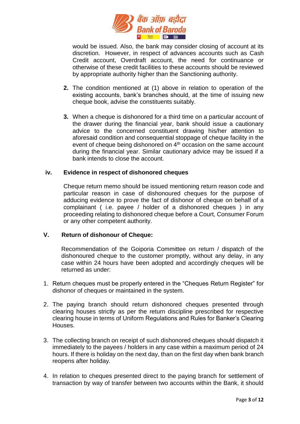

would be issued. Also, the bank may consider closing of account at its discretion. However, in respect of advances accounts such as Cash Credit account, Overdraft account, the need for continuance or otherwise of these credit facilities to these accounts should be reviewed by appropriate authority higher than the Sanctioning authority.

- **2.** The condition mentioned at (1) above in relation to operation of the existing accounts, bank's branches should, at the time of issuing new cheque book, advise the constituents suitably.
- **3.** When a cheque is dishonored for a third time on a particular account of the drawer during the financial year, bank should issue a cautionary advice to the concerned constituent drawing his/her attention to aforesaid condition and consequential stoppage of cheque facility in the event of cheque being dishonored on 4<sup>th</sup> occasion on the same account during the financial year. Similar cautionary advice may be issued if a bank intends to close the account.

#### **iv. Evidence in respect of dishonored cheques**

Cheque return memo should be issued mentioning return reason code and particular reason in case of dishonoured cheques for the purpose of adducing evidence to prove the fact of dishonor of cheque on behalf of a complainant ( i.e. payee / holder of a dishonored cheques ) in any proceeding relating to dishonored cheque before a Court, Consumer Forum or any other competent authority.

#### **V. Return of dishonour of Cheque:**

Recommendation of the Goiporia Committee on return / dispatch of the dishonoured cheque to the customer promptly, without any delay, in any case within 24 hours have been adopted and accordingly cheques will be returned as under:

- 1. Return cheques must be properly entered in the "Cheques Return Register" for dishonor of cheques or maintained in the system.
- 2. The paying branch should return dishonored cheques presented through clearing houses strictly as per the return discipline prescribed for respective clearing house in terms of Uniform Regulations and Rules for Banker's Clearing **Houses**
- 3. The collecting branch on receipt of such dishonored cheques should dispatch it immediately to the payees / holders in any case within a maximum period of 24 hours. If there is holiday on the next day, than on the first day when bank branch reopens after holiday*.*
- 4. In relation to cheques presented direct to the paying branch for settlement of transaction by way of transfer between two accounts within the Bank, it should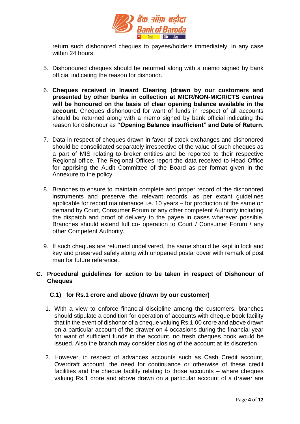

return such dishonored cheques to payees/holders immediately, in any case within 24 hours.

- 5. Dishonoured cheques should be returned along with a memo signed by bank official indicating the reason for dishonor.
- 6. **Cheques received in Inward Clearing (drawn by our customers and presented by other banks in collection at MICR/NON-MICR/CTS centres will be honoured on the basis of clear opening balance available in the account**. Cheques dishonoured for want of funds in respect of all accounts should be returned along with a memo signed by bank official indicating the reason for dishonour as **"Opening Balance insufficient" and Date of Return.**
- 7. Data in respect of cheques drawn in favor of stock exchanges and dishonored should be consolidated separately irrespective of the value of such cheques as a part of MIS relating to broker entities and be reported to their respective Regional office. The Regional Offices report the data received to Head Office for apprising the Audit Committee of the Board as per format given in the Annexure to the policy.
- 8. Branches to ensure to maintain complete and proper record of the dishonored instruments and preserve the relevant records, as per extant guidelines applicable for record maintenance i.e. 10 years – for production of the same on demand by Court, Consumer Forum or any other competent Authority including the dispatch and proof of delivery to the payee in cases wherever possible. Branches should extend full co- operation to Court / Consumer Forum / any other Competent Authority.
- 9. If such cheques are returned undelivered, the same should be kept in lock and key and preserved safely along with unopened postal cover with remark of post man for future reference..

#### **C. Procedural guidelines for action to be taken in respect of Dishonour of Cheques**

#### **C.1) for Rs.1 crore and above (drawn by our customer)**

- 1. With a view to enforce financial discipline among the customers, branches should stipulate a condition for operation of accounts with cheque book facility that in the event of dishonor of a cheque valuing Rs.1.00 crore and above drawn on a particular account of the drawer on 4 occasions during the financial year for want of sufficient funds in the account, no fresh cheques book would be issued. Also the branch may consider closing of the account at its discretion.
- 2. However, in respect of advances accounts such as Cash Credit account, Overdraft account, the need for continuance or otherwise of these credit facilities and the cheque facility relating to those accounts – where cheques valuing Rs.1 crore and above drawn on a particular account of a drawer are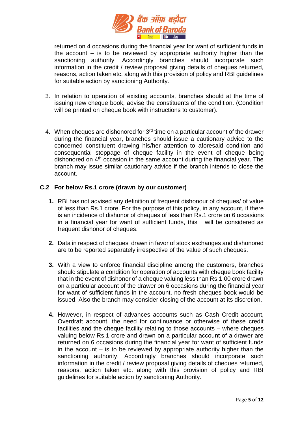

returned on 4 occasions during the financial year for want of sufficient funds in the account  $-$  is to be reviewed by appropriate authority higher than the sanctioning authority. Accordingly branches should incorporate such information in the credit / review proposal giving details of cheques returned, reasons, action taken etc. along with this provision of policy and RBI guidelines for suitable action by sanctioning Authority.

- 3. In relation to operation of existing accounts, branches should at the time of issuing new cheque book, advise the constituents of the condition. (Condition will be printed on cheque book with instructions to customer).
- 4. When cheques are dishonored for 3<sup>rd</sup> time on a particular account of the drawer during the financial year, branches should issue a cautionary advice to the concerned constituent drawing his/her attention to aforesaid condition and consequential stoppage of cheque facility in the event of cheque being dishonored on 4th occasion in the same account during the financial year. The branch may issue similar cautionary advice if the branch intends to close the account.

## **C.2 For below Rs.1 crore (drawn by our customer)**

- **1.** RBI has not advised any definition of frequent dishonour of cheques/ of value of less than Rs.1 crore. For the purpose of this policy, in any account, if there is an incidence of dishonor of cheques of less than Rs.1 crore on 6 occasions in a financial year for want of sufficient funds, this will be considered as frequent dishonor of cheques.
- **2.** Data in respect of cheques drawn in favor of stock exchanges and dishonored are to be reported separately irrespective of the value of such cheques.
- **3.** With a view to enforce financial discipline among the customers, branches should stipulate a condition for operation of accounts with cheque book facility that in the event of dishonor of a cheque valuing less than Rs.1.00 crore drawn on a particular account of the drawer on 6 occasions during the financial year for want of sufficient funds in the account, no fresh cheques book would be issued. Also the branch may consider closing of the account at its discretion.
- **4.** However, in respect of advances accounts such as Cash Credit account, Overdraft account, the need for continuance or otherwise of these credit facilities and the cheque facility relating to those accounts – where cheques valuing below Rs.1 crore and drawn on a particular account of a drawer are returned on 6 occasions during the financial year for want of sufficient funds in the account – is to be reviewed by appropriate authority higher than the sanctioning authority. Accordingly branches should incorporate such information in the credit / review proposal giving details of cheques returned, reasons, action taken etc. along with this provision of policy and RBI guidelines for suitable action by sanctioning Authority.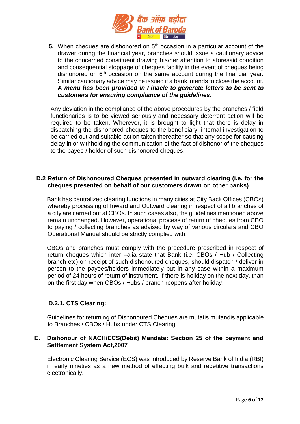

**5.** When cheques are dishonored on 5<sup>th</sup> occasion in a particular account of the drawer during the financial year, branches should issue a cautionary advice to the concerned constituent drawing his/her attention to aforesaid condition and consequential stoppage of cheques facility in the event of cheques being dishonored on  $6<sup>th</sup>$  occasion on the same account during the financial year. Similar cautionary advice may be issued if a bank intends to close the account. *A menu has been provided in Finacle to generate letters to be sent to customers for ensuring compliance of the guidelines.* 

Any deviation in the compliance of the above procedures by the branches / field functionaries is to be viewed seriously and necessary deterrent action will be required to be taken. Wherever, it is brought to light that there is delay in dispatching the dishonored cheques to the beneficiary, internal investigation to be carried out and suitable action taken thereafter so that any scope for causing delay in or withholding the communication of the fact of dishonor of the cheques to the payee / holder of such dishonored cheques.

#### **D.2 Return of Dishonoured Cheques presented in outward clearing (i.e. for the cheques presented on behalf of our customers drawn on other banks)**

Bank has centralized clearing functions in many cities at City Back Offices (CBOs) whereby processing of Inward and Outward clearing in respect of all branches of a city are carried out at CBOs. In such cases also, the guidelines mentioned above remain unchanged. However, operational process of return of cheques from CBO to paying / collecting branches as advised by way of various circulars and CBO Operational Manual should be strictly complied with.

CBOs and branches must comply with the procedure prescribed in respect of return cheques which inter –alia state that Bank (i.e. CBOs / Hub / Collecting branch etc) on receipt of such dishonoured cheques, should dispatch / deliver in person to the payees/holders immediately but in any case within a maximum period of 24 hours of return of instrument. If there is holiday on the next day, than on the first day when CBOs / Hubs / branch reopens after holiday.

#### **D.2.1. CTS Clearing:**

Guidelines for returning of Dishonoured Cheques are mutatis mutandis applicable to Branches / CBOs / Hubs under CTS Clearing.

#### **E. Dishonour of NACH/ECS(Debit) Mandate: Section 25 of the payment and Settlement System Act,2007**

Electronic Clearing Service (ECS) was introduced by Reserve Bank of India (RBI) in early nineties as a new method of effecting bulk and repetitive transactions electronically.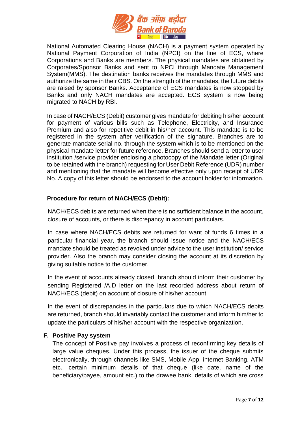

National Automated Clearing House (NACH) is a payment system operated by National Payment Corporation of India (NPCI) on the line of ECS, where Corporations and Banks are members. The physical mandates are obtained by Corporates/Sponsor Banks and sent to NPCI through Mandate Management System(MMS). The destination banks receives the mandates through MMS and authorize the same in their CBS. On the strength of the mandates, the future debits are raised by sponsor Banks. Acceptance of ECS mandates is now stopped by Banks and only NACH mandates are accepted. ECS system is now being migrated to NACH by RBI.

In case of NACH/ECS (Debit) customer gives mandate for debiting his/her account for payment of various bills such as Telephone, Electricity, and Insurance Premium and also for repetitive debit in his/her account. This mandate is to be registered in the system after verification of the signature. Branches are to generate mandate serial no. through the system which is to be mentioned on the physical mandate letter for future reference. Branches should send a letter to user institution /service provider enclosing a photocopy of the Mandate letter (Original to be retained with the branch) requesting for User Debit Reference (UDR) number and mentioning that the mandate will become effective only upon receipt of UDR No. A copy of this letter should be endorsed to the account holder for information.

#### **Procedure for return of NACH/ECS (Debit):**

NACH/ECS debits are returned when there is no sufficient balance in the account, closure of accounts, or there is discrepancy in account particulars.

In case where NACH/ECS debits are returned for want of funds 6 times in a particular financial year, the branch should issue notice and the NACH/ECS mandate should be treated as revoked under advice to the user institution/ service provider. Also the branch may consider closing the account at its discretion by giving suitable notice to the customer.

In the event of accounts already closed, branch should inform their customer by sending Registered /A.D letter on the last recorded address about return of NACH/ECS (debit) on account of closure of his/her account.

In the event of discrepancies in the particulars due to which NACH/ECS debits are returned, branch should invariably contact the customer and inform him/her to update the particulars of his/her account with the respective organization.

#### **F. Positive Pay system**

The concept of Positive pay involves a process of reconfirming key details of large value cheques. Under this process, the issuer of the cheque submits electronically, through channels like SMS, Mobile App, internet Banking, ATM etc., certain minimum details of that cheque (like date, name of the beneficiary/payee, amount etc.) to the drawee bank, details of which are cross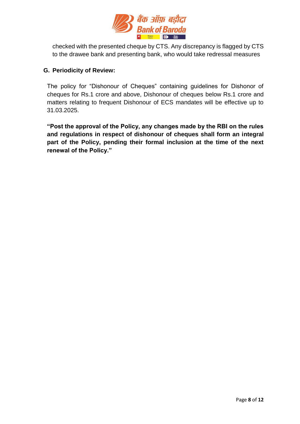

checked with the presented cheque by CTS. Any discrepancy is flagged by CTS to the drawee bank and presenting bank, who would take redressal measures

# **G. Periodicity of Review:**

The policy for "Dishonour of Cheques" containing guidelines for Dishonor of cheques for Rs.1 crore and above, Dishonour of cheques below Rs.1 crore and matters relating to frequent Dishonour of ECS mandates will be effective up to 31.03.2025.

**"Post the approval of the Policy, any changes made by the RBI on the rules and regulations in respect of dishonour of cheques shall form an integral part of the Policy, pending their formal inclusion at the time of the next renewal of the Policy."**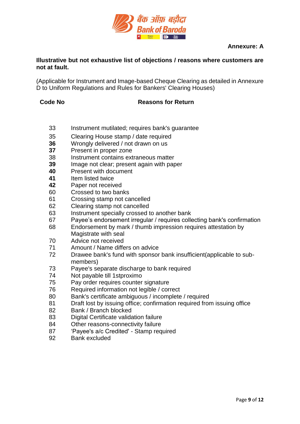

#### **Annexure: A**

#### **Illustrative but not exhaustive list of objections / reasons where customers are not at fault.**

(Applicable for Instrument and Image-based Cheque Clearing as detailed in Annexure D to Uniform Regulations and Rules for Bankers' Clearing Houses)

## **Code No Reasons for Return**

- Instrument mutilated; requires bank's guarantee
- Clearing House stamp / date required
- Wrongly delivered / not drawn on us
- Present in proper zone
- Instrument contains extraneous matter
- Image not clear; present again with paper
- Present with document
- Item listed twice
- Paper not received
- Crossed to two banks
- Crossing stamp not cancelled
- Clearing stamp not cancelled
- Instrument specially crossed to another bank
- Payee's endorsement irregular / requires collecting bank's confirmation
- Endorsement by mark / thumb impression requires attestation by Magistrate with seal
- Advice not received
- Amount / Name differs on advice
- Drawee bank's fund with sponsor bank insufficient(applicable to submembers)
- Payee's separate discharge to bank required
- Not payable till 1stproximo
- Pay order requires counter signature
- Required information not legible / correct
- Bank's certificate ambiguous / incomplete / required
- Draft lost by issuing office; confirmation required from issuing office
- Bank / Branch blocked
- 83 Digital Certificate validation failure
- Other reasons-connectivity failure
- 'Payee's a/c Credited' Stamp required
- Bank excluded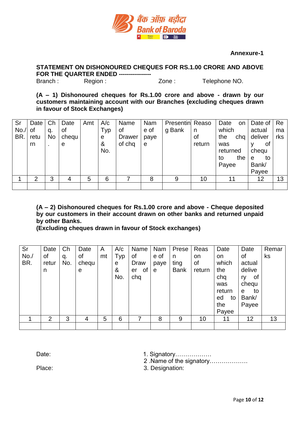

#### **Annexure-1**

**STATEMENT ON DISHONOURED CHEQUES FOR RS.1.00 CRORE AND ABOVE FOR THE QUARTER ENDED ----------------**

Branch : Region : Zone : Telephone NO.

**(A – 1) Dishonoured cheques for Rs.1.00 crore and above - drawn by our customers maintaining account with our Branches (excluding cheques drawn in favour of Stock Exchanges)**

| Sr<br>No.<br>BR. | Date<br>0f<br>retu<br>rn | Ch<br>q.<br>No<br>$\blacksquare$ | Date<br>0f<br>chequ<br>e | Amt | A/c<br>Typ<br>e<br>&<br>No. | Name<br>οf<br><b>Drawer</b><br>of chq | Nam<br>e of<br>paye<br>$\mathbf e$ | <b>Presentin</b> Reaso<br>g Bank | n<br>οf<br>return | Date<br>on<br>which<br>the<br>chq<br>was<br>returned<br>the<br>to<br>Payee | Date of $ Re$<br>actual<br>deliver<br>0f<br>chequ<br>to<br>e<br>Bank/<br>Payee | ma<br>rks |
|------------------|--------------------------|----------------------------------|--------------------------|-----|-----------------------------|---------------------------------------|------------------------------------|----------------------------------|-------------------|----------------------------------------------------------------------------|--------------------------------------------------------------------------------|-----------|
|                  | $\overline{2}$           | 3                                | 4                        | 5   | 6                           |                                       | 8                                  | 9                                | 10                | 11                                                                         | 12                                                                             | 13        |
|                  |                          |                                  |                          |     |                             |                                       |                                    |                                  |                   |                                                                            |                                                                                |           |

**(A – 2) Dishonoured cheques for Rs.1.00 crore and above - Cheque deposited by our customers in their account drawn on other banks and returned unpaid by other Banks.** 

**(Excluding cheques drawn in favour of Stock exchanges)**

| Sr<br>No.<br>BR. | Date<br>οf<br>retur<br>n | Ch<br>q.<br>No. | Date<br>of<br>chequ<br>е | A<br>mt | A/c<br>Typ<br>е<br>&<br>No. | Name<br>of<br>Draw<br>0f<br>er<br>chq | Nam<br>e of<br>paye<br>e | Prese<br>n<br>ting<br><b>Bank</b> | Reas<br>on<br>of<br>return | Date<br>on<br>which<br>the<br>chq<br>was<br>return<br>ed<br>to<br>the | Date<br>οf<br>actual<br>delive<br>of<br>ry<br>chequ<br>to<br>е<br>Bank/<br>Payee | Remar<br>ks |
|------------------|--------------------------|-----------------|--------------------------|---------|-----------------------------|---------------------------------------|--------------------------|-----------------------------------|----------------------------|-----------------------------------------------------------------------|----------------------------------------------------------------------------------|-------------|
|                  |                          |                 |                          |         |                             |                                       |                          |                                   |                            | Payee                                                                 |                                                                                  |             |
|                  | 2                        | 3               | 4                        | 5       | 6                           |                                       | 8                        | 9                                 | 10                         | 11                                                                    | 12                                                                               | 13          |

Date: 1. Signatory………………

2 .Name of the signatory……………….

Place: 3. Designation: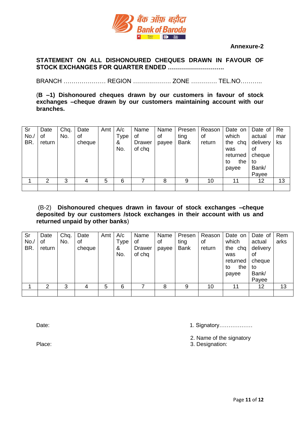

#### **Annexure-2**

#### **STATEMENT ON ALL DISHONOURED CHEQUES DRAWN IN FAVOUR OF STOCK EXCHANGES FOR QUARTER ENDED ……………………….**

BRANCH ………………… REGION ………………. ZONE …………. TEL.NO………..

(**B –1) Dishonoured cheques drawn by our customers in favour of stock exchanges –cheque drawn by our customers maintaining account with our branches.** 

| Sr<br>No.<br>BR. | Date<br>0f<br>return | Chq.<br>No. | Date<br>οf<br>cheque | Amt | A/c<br>Type<br>&<br>No. | Name<br>οf<br>Drawer<br>of chq | Name<br>0f<br>payee | Presen<br>ting<br><b>Bank</b> | Reason<br>οf<br>return | Date on<br>which<br>the chq<br>was<br>returned<br>the<br>to<br>payee | Date of<br>actual<br>delivery<br>οf<br>cheque<br>to<br>Bank/<br>Payee | Re<br>mar<br>ks |
|------------------|----------------------|-------------|----------------------|-----|-------------------------|--------------------------------|---------------------|-------------------------------|------------------------|----------------------------------------------------------------------|-----------------------------------------------------------------------|-----------------|
|                  | ົ                    | 3           | 4                    | 5   | 6                       |                                | 8                   | 9                             | 10                     | 11                                                                   | 12                                                                    | 13              |
|                  |                      |             |                      |     |                         |                                |                     |                               |                        |                                                                      |                                                                       |                 |

#### (B-2) **Dishonoured cheques drawn in favour of stock exchanges –cheque deposited by our customers /stock exchanges in their account with us and returned unpaid by other banks**)

| Sr<br>No.<br>BR. | Date<br>οf<br>return | Chq.<br>No. | Date<br>0f<br>cheque | Amt | A/c<br>Type<br>&<br>No. | Name<br>οf<br>Drawer<br>of chq | Name<br>οf<br>payee | Presen<br>ting<br><b>Bank</b> | Reason<br>0f<br>return | Date on<br>which<br>the chq<br>was<br>returned<br>the<br>to<br>payee | Date of<br>actual<br>delivery<br>οf<br>cheque<br>to<br>Bank/<br>Payee | Rem<br>arks |
|------------------|----------------------|-------------|----------------------|-----|-------------------------|--------------------------------|---------------------|-------------------------------|------------------------|----------------------------------------------------------------------|-----------------------------------------------------------------------|-------------|
|                  | ົ                    | 3           |                      | 5   | 6                       |                                | 8                   | 9                             | 10                     | 11                                                                   | 12                                                                    | 13          |
|                  |                      |             |                      |     |                         |                                |                     |                               |                        |                                                                      |                                                                       |             |

Date: 1. Signatory………………

2. Name of the signatory

Place: 3. Designation: